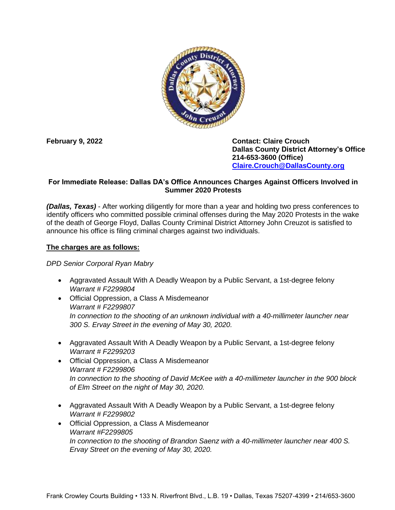

**February 9, 2022 Contact: Claire Crouch Dallas County District Attorney's Office 214-653-3600 (Office) [Claire.Crouch@DallasCounty.org](mailto:Claire.Crouch@DallasCounty.org)**

## **For Immediate Release: Dallas DA's Office Announces Charges Against Officers Involved in Summer 2020 Protests**

*(Dallas, Texas)* - After working diligently for more than a year and holding two press conferences to identify officers who committed possible criminal offenses during the May 2020 Protests in the wake of the death of George Floyd, Dallas County Criminal District Attorney John Creuzot is satisfied to announce his office is filing criminal charges against two individuals.

## **The charges are as follows:**

*DPD Senior Corporal Ryan Mabry* 

- Aggravated Assault With A Deadly Weapon by a Public Servant, a 1st-degree felony *Warrant # F2299804*
- Official Oppression, a Class A Misdemeanor *Warrant # F2299807 In connection to the shooting of an unknown individual with a 40-millimeter launcher near 300 S. Ervay Street in the evening of May 30, 2020.*
- Aggravated Assault With A Deadly Weapon by a Public Servant, a 1st-degree felony *Warrant # F2299203*
- Official Oppression, a Class A Misdemeanor *Warrant # F2299806 In connection to the shooting of David McKee with a 40-millimeter launcher in the 900 block of Elm Street on the night of May 30, 2020.*
- Aggravated Assault With A Deadly Weapon by a Public Servant, a 1st-degree felony *Warrant # F2299802*
- Official Oppression, a Class A Misdemeanor *Warrant #F2299805 In connection to the shooting of Brandon Saenz with a 40-millimeter launcher near 400 S. Ervay Street on the evening of May 30, 2020.*